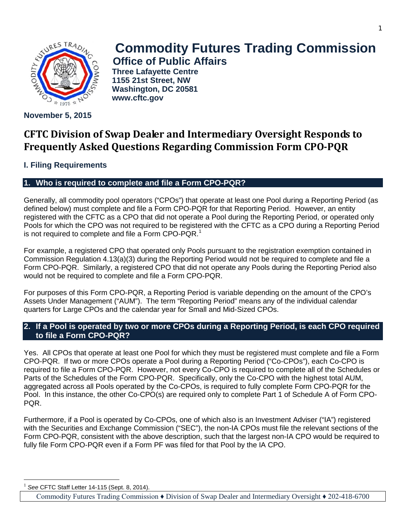

# **November 5, 2015**

# **Commodity Futures Trading Commission Office of Public Affairs**

**Three Lafayette Centre 1155 21st Street, NW Washington, DC 20581 www.cftc.gov**

# **CFTC Division of Swap Dealer and Intermediary Oversight Responds to Frequently Asked Questions Regarding Commission Form CPO-PQR**

# **I. Filing Requirements**

# **1. Who is required to complete and file a Form CPO-PQR?**

Generally, all commodity pool operators ("CPOs") that operate at least one Pool during a Reporting Period (as defined below) must complete and file a Form CPO-PQR for that Reporting Period. However, an entity registered with the CFTC as a CPO that did not operate a Pool during the Reporting Period, or operated only Pools for which the CPO was not required to be registered with the CFTC as a CPO during a Reporting Period is not required to complete and file a Form CPO-PQR.<sup>[1](#page-0-0)</sup>

For example, a registered CPO that operated only Pools pursuant to the registration exemption contained in Commission Regulation 4.13(a)(3) during the Reporting Period would not be required to complete and file a Form CPO-PQR. Similarly, a registered CPO that did not operate any Pools during the Reporting Period also would not be required to complete and file a Form CPO-PQR.

For purposes of this Form CPO-PQR, a Reporting Period is variable depending on the amount of the CPO's Assets Under Management ("AUM"). The term "Reporting Period" means any of the individual calendar quarters for Large CPOs and the calendar year for Small and Mid-Sized CPOs.

# **2. If a Pool is operated by two or more CPOs during a Reporting Period, is each CPO required to file a Form CPO-PQR?**

Yes. All CPOs that operate at least one Pool for which they must be registered must complete and file a Form CPO-PQR. If two or more CPOs operate a Pool during a Reporting Period ("Co-CPOs"), each Co-CPO is required to file a Form CPO-PQR. However, not every Co-CPO is required to complete all of the Schedules or Parts of the Schedules of the Form CPO-PQR. Specifically, only the Co-CPO with the highest total AUM, aggregated across all Pools operated by the Co-CPOs, is required to fully complete Form CPO-PQR for the Pool. In this instance, the other Co-CPO(s) are required only to complete Part 1 of Schedule A of Form CPO-PQR.

Furthermore, if a Pool is operated by Co-CPOs, one of which also is an Investment Adviser ("IA") registered with the Securities and Exchange Commission ("SEC"), the non-IA CPOs must file the relevant sections of the Form CPO-PQR, consistent with the above description, such that the largest non-IA CPO would be required to fully file Form CPO-PQR even if a Form PF was filed for that Pool by the IA CPO.

<sup>1</sup> *See* CFTC Staff Letter 14-115 (Sept. 8, 2014).

<span id="page-0-0"></span> $\overline{a}$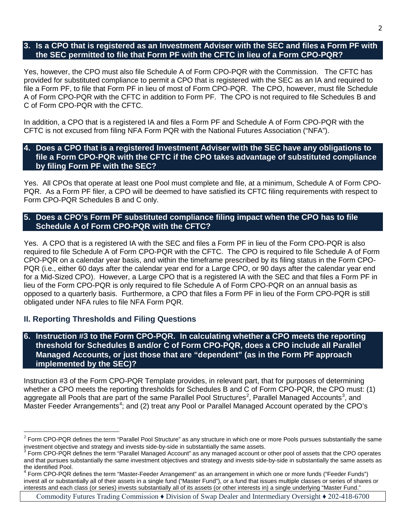#### **3. Is a CPO that is registered as an Investment Adviser with the SEC and files a Form PF with the SEC permitted to file that Form PF with the CFTC in lieu of a Form CPO-PQR?**

Yes, however, the CPO must also file Schedule A of Form CPO-PQR with the Commission. The CFTC has provided for substituted compliance to permit a CPO that is registered with the SEC as an IA and required to file a Form PF, to file that Form PF in lieu of most of Form CPO-PQR. The CPO, however, must file Schedule A of Form CPO-PQR with the CFTC in addition to Form PF. The CPO is not required to file Schedules B and C of Form CPO-PQR with the CFTC.

In addition, a CPO that is a registered IA and files a Form PF and Schedule A of Form CPO-PQR with the CFTC is not excused from filing NFA Form PQR with the National Futures Association ("NFA").

#### **4. Does a CPO that is a registered Investment Adviser with the SEC have any obligations to file a Form CPO-PQR with the CFTC if the CPO takes advantage of substituted compliance by filing Form PF with the SEC?**

Yes. All CPOs that operate at least one Pool must complete and file, at a minimum, Schedule A of Form CPO-PQR. As a Form PF filer, a CPO will be deemed to have satisfied its CFTC filing requirements with respect to Form CPO-PQR Schedules B and C only.

# **5. Does a CPO's Form PF substituted compliance filing impact when the CPO has to file Schedule A of Form CPO-PQR with the CFTC?**

Yes. A CPO that is a registered IA with the SEC and files a Form PF in lieu of the Form CPO-PQR is also required to file Schedule A of Form CPO-PQR with the CFTC. The CPO is required to file Schedule A of Form CPO-PQR on a calendar year basis, and within the timeframe prescribed by its filing status in the Form CPO-PQR (i.e., either 60 days after the calendar year end for a Large CPO, or 90 days after the calendar year end for a Mid-Sized CPO). However, a Large CPO that is a registered IA with the SEC and that files a Form PF in lieu of the Form CPO-PQR is only required to file Schedule A of Form CPO-PQR on an annual basis as opposed to a quarterly basis. Furthermore, a CPO that files a Form PF in lieu of the Form CPO-PQR is still obligated under NFA rules to file NFA Form PQR.

# **II. Reporting Thresholds and Filing Questions**

 $\overline{a}$ 

**6. Instruction #3 to the Form CPO-PQR. In calculating whether a CPO meets the reporting threshold for Schedules B and/or C of Form CPO-PQR, does a CPO include all Parallel Managed Accounts, or just those that are "dependent" (as in the Form PF approach implemented by the SEC)?**

Instruction #3 of the Form CPO-PQR Template provides, in relevant part, that for purposes of determining whether a CPO meets the reporting thresholds for Schedules B and C of Form CPO-PQR, the CPO must: (1) aggregate all Pools that are part of the same Parallel Pool Structures<sup>[2](#page-1-0)</sup>, Parallel Managed Accounts<sup>[3](#page-1-1)</sup>, and Master Feeder Arrangements<sup>[4](#page-1-2)</sup>; and (2) treat any Pool or Parallel Managed Account operated by the CPO's

<span id="page-1-0"></span> $^2$  Form CPO-PQR defines the term "Parallel Pool Structure" as any structure in which one or more Pools pursues substantially the same investment objective and strategy and invests side-by-side in substantially the same assets.<br><sup>3</sup> Form CPO-PQR defines the term "Parallel Managed Account" as any managed account or other pool of assets that the CPO operates

<span id="page-1-1"></span>and that pursues substantially the same investment objectives and strategy and invests side-by-side in substantially the same assets as the identified Pool.

<span id="page-1-2"></span> $4$  Form CPO-PQR defines the term "Master-Feeder Arrangement" as an arrangement in which one or more funds ("Feeder Funds") invest all or substantially all of their assets in a single fund ("Master Fund"), or a fund that issues multiple classes or series of shares or interests and each class (or series) invests substantially all of its assets (or other interests in) a single underlying "Master Fund."

Commodity Futures Trading Commission ♦ Division of Swap Dealer and Intermediary Oversight ♦ 202-418-6700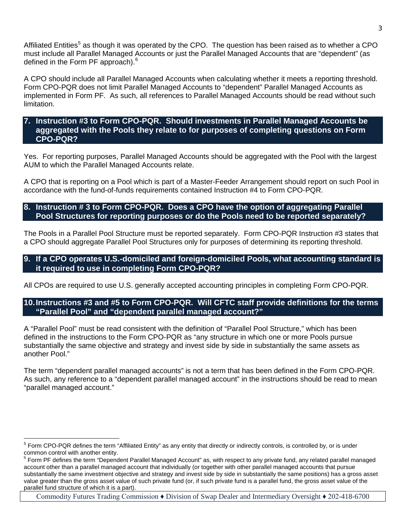Affiliated Entities<sup>[5](#page-2-0)</sup> as though it was operated by the CPO. The question has been raised as to whether a CPO must include all Parallel Managed Accounts or just the Parallel Managed Accounts that are "dependent" (as defined in the Form PF approach).<sup>[6](#page-2-1)</sup>

A CPO should include all Parallel Managed Accounts when calculating whether it meets a reporting threshold. Form CPO-PQR does not limit Parallel Managed Accounts to "dependent" Parallel Managed Accounts as implemented in Form PF. As such, all references to Parallel Managed Accounts should be read without such limitation.

#### **7. Instruction #3 to Form CPO-PQR. Should investments in Parallel Managed Accounts be aggregated with the Pools they relate to for purposes of completing questions on Form CPO-PQR?**

Yes. For reporting purposes, Parallel Managed Accounts should be aggregated with the Pool with the largest AUM to which the Parallel Managed Accounts relate.

A CPO that is reporting on a Pool which is part of a Master-Feeder Arrangement should report on such Pool in accordance with the fund-of-funds requirements contained Instruction #4 to Form CPO-PQR.

# **8. Instruction # 3 to Form CPO-PQR. Does a CPO have the option of aggregating Parallel Pool Structures for reporting purposes or do the Pools need to be reported separately?**

The Pools in a Parallel Pool Structure must be reported separately. Form CPO-PQR Instruction #3 states that a CPO should aggregate Parallel Pool Structures only for purposes of determining its reporting threshold.

### **9. If a CPO operates U.S.-domiciled and foreign-domiciled Pools, what accounting standard is it required to use in completing Form CPO-PQR?**

All CPOs are required to use U.S. generally accepted accounting principles in completing Form CPO-PQR.

### **10.Instructions #3 and #5 to Form CPO-PQR. Will CFTC staff provide definitions for the terms "Parallel Pool" and "dependent parallel managed account?"**

A "Parallel Pool" must be read consistent with the definition of "Parallel Pool Structure," which has been defined in the instructions to the Form CPO-PQR as "any structure in which one or more Pools pursue substantially the same objective and strategy and invest side by side in substantially the same assets as another Pool."

The term "dependent parallel managed accounts" is not a term that has been defined in the Form CPO-PQR. As such, any reference to a "dependent parallel managed account" in the instructions should be read to mean "parallel managed account."

<span id="page-2-0"></span> $\overline{a}$  $5$  Form CPO-PQR defines the term "Affiliated Entity" as any entity that directly or indirectly controls, is controlled by, or is under common control with another entity.<br><sup>6</sup> Form PF defines the term "Dependent Parallel Managed Account" as, with respect to any private fund, any related parallel managed

<span id="page-2-1"></span>account other than a parallel managed account that individually (or together with other parallel managed accounts that pursue substantially the same investment objective and strategy and invest side by side in substantially the same positions) has a gross asset value greater than the gross asset value of such private fund (or, if such private fund is a parallel fund, the gross asset value of the parallel fund structure of which it is a part).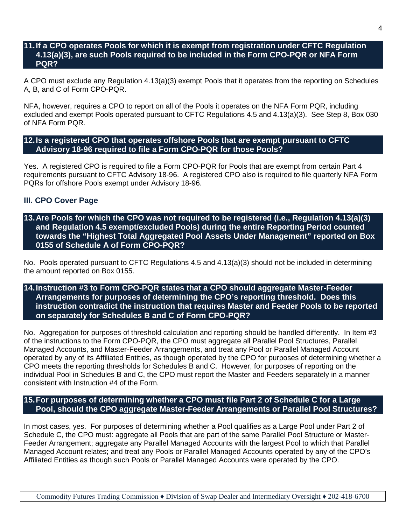#### **11.If a CPO operates Pools for which it is exempt from registration under CFTC Regulation 4.13(a)(3), are such Pools required to be included in the Form CPO-PQR or NFA Form PQR?**

A CPO must exclude any Regulation 4.13(a)(3) exempt Pools that it operates from the reporting on Schedules A, B, and C of Form CPO-PQR.

NFA, however, requires a CPO to report on all of the Pools it operates on the NFA Form PQR, including excluded and exempt Pools operated pursuant to CFTC Regulations 4.5 and 4.13(a)(3). See Step 8, Box 030 of NFA Form PQR.

**12.Is a registered CPO that operates offshore Pools that are exempt pursuant to CFTC Advisory 18-96 required to file a Form CPO-PQR for those Pools?**

Yes. A registered CPO is required to file a Form CPO-PQR for Pools that are exempt from certain Part 4 requirements pursuant to CFTC Advisory 18-96. A registered CPO also is required to file quarterly NFA Form PQRs for offshore Pools exempt under Advisory 18-96.

#### **III. CPO Cover Page**

**13.Are Pools for which the CPO was not required to be registered (i.e., Regulation 4.13(a)(3) and Regulation 4.5 exempt/excluded Pools) during the entire Reporting Period counted towards the "Highest Total Aggregated Pool Assets Under Management" reported on Box 0155 of Schedule A of Form CPO-PQR?**

No. Pools operated pursuant to CFTC Regulations 4.5 and 4.13(a)(3) should not be included in determining the amount reported on Box 0155.

# **14.Instruction #3 to Form CPO-PQR states that a CPO should aggregate Master-Feeder Arrangements for purposes of determining the CPO's reporting threshold. Does this instruction contradict the instruction that requires Master and Feeder Pools to be reported on separately for Schedules B and C of Form CPO-PQR?**

No. Aggregation for purposes of threshold calculation and reporting should be handled differently. In Item #3 of the instructions to the Form CPO-PQR, the CPO must aggregate all Parallel Pool Structures, Parallel Managed Accounts, and Master-Feeder Arrangements, and treat any Pool or Parallel Managed Account operated by any of its Affiliated Entities, as though operated by the CPO for purposes of determining whether a CPO meets the reporting thresholds for Schedules B and C. However, for purposes of reporting on the individual Pool in Schedules B and C, the CPO must report the Master and Feeders separately in a manner consistent with Instruction #4 of the Form.

## **15.For purposes of determining whether a CPO must file Part 2 of Schedule C for a Large Pool, should the CPO aggregate Master-Feeder Arrangements or Parallel Pool Structures?**

In most cases, yes. For purposes of determining whether a Pool qualifies as a Large Pool under Part 2 of Schedule C, the CPO must: aggregate all Pools that are part of the same Parallel Pool Structure or Master-Feeder Arrangement; aggregate any Parallel Managed Accounts with the largest Pool to which that Parallel Managed Account relates; and treat any Pools or Parallel Managed Accounts operated by any of the CPO's Affiliated Entities as though such Pools or Parallel Managed Accounts were operated by the CPO.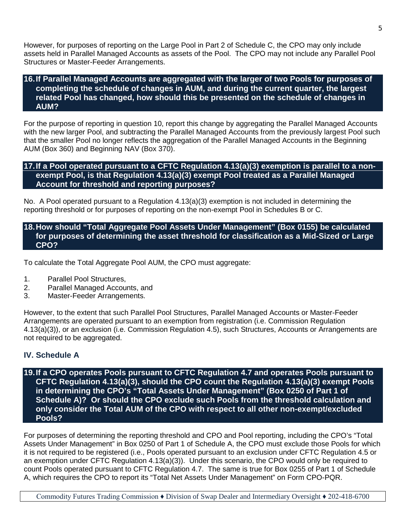However, for purposes of reporting on the Large Pool in Part 2 of Schedule C, the CPO may only include assets held in Parallel Managed Accounts as assets of the Pool. The CPO may not include any Parallel Pool Structures or Master-Feeder Arrangements.

#### **16.If Parallel Managed Accounts are aggregated with the larger of two Pools for purposes of completing the schedule of changes in AUM, and during the current quarter, the largest related Pool has changed, how should this be presented on the schedule of changes in AUM?**

For the purpose of reporting in question 10, report this change by aggregating the Parallel Managed Accounts with the new larger Pool, and subtracting the Parallel Managed Accounts from the previously largest Pool such that the smaller Pool no longer reflects the aggregation of the Parallel Managed Accounts in the Beginning AUM (Box 360) and Beginning NAV (Box 370).

## **17.If a Pool operated pursuant to a CFTC Regulation 4.13(a)(3) exemption is parallel to a nonexempt Pool, is that Regulation 4.13(a)(3) exempt Pool treated as a Parallel Managed Account for threshold and reporting purposes?**

No. A Pool operated pursuant to a Regulation 4.13(a)(3) exemption is not included in determining the reporting threshold or for purposes of reporting on the non-exempt Pool in Schedules B or C.

# **18.How should "Total Aggregate Pool Assets Under Management" (Box 0155) be calculated for purposes of determining the asset threshold for classification as a Mid-Sized or Large CPO?**

To calculate the Total Aggregate Pool AUM, the CPO must aggregate:

- 1. Parallel Pool Structures,
- 2. Parallel Managed Accounts, and
- 3. Master-Feeder Arrangements.

However, to the extent that such Parallel Pool Structures, Parallel Managed Accounts or Master-Feeder Arrangements are operated pursuant to an exemption from registration (i.e. Commission Regulation 4.13(a)(3)), or an exclusion (i.e. Commission Regulation 4.5), such Structures, Accounts or Arrangements are not required to be aggregated.

# **IV. Schedule A**

**19.If a CPO operates Pools pursuant to CFTC Regulation 4.7 and operates Pools pursuant to CFTC Regulation 4.13(a)(3), should the CPO count the Regulation 4.13(a)(3) exempt Pools in determining the CPO's "Total Assets Under Management" (Box 0250 of Part 1 of Schedule A)? Or should the CPO exclude such Pools from the threshold calculation and only consider the Total AUM of the CPO with respect to all other non-exempt/excluded Pools?**

For purposes of determining the reporting threshold and CPO and Pool reporting, including the CPO's "Total Assets Under Management" in Box 0250 of Part 1 of Schedule A, the CPO must exclude those Pools for which it is not required to be registered (i.e., Pools operated pursuant to an exclusion under CFTC Regulation 4.5 or an exemption under CFTC Regulation 4.13(a)(3)). Under this scenario, the CPO would only be required to count Pools operated pursuant to CFTC Regulation 4.7. The same is true for Box 0255 of Part 1 of Schedule A, which requires the CPO to report its "Total Net Assets Under Management" on Form CPO-PQR.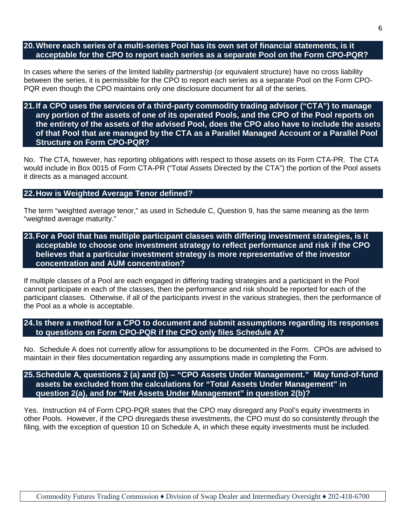**20.Where each series of a multi-series Pool has its own set of financial statements, is it acceptable for the CPO to report each series as a separate Pool on the Form CPO-PQR?**

In cases where the series of the limited liability partnership (or equivalent structure) have no cross liability between the series, it is permissible for the CPO to report each series as a separate Pool on the Form CPO-PQR even though the CPO maintains only one disclosure document for all of the series.

**21.If a CPO uses the services of a third-party commodity trading advisor ("CTA") to manage any portion of the assets of one of its operated Pools, and the CPO of the Pool reports on the entirety of the assets of the advised Pool, does the CPO also have to include the assets of that Pool that are managed by the CTA as a Parallel Managed Account or a Parallel Pool Structure on Form CPO-PQR?**

No. The CTA, however, has reporting obligations with respect to those assets on its Form CTA-PR. The CTA would include in Box 0015 of Form CTA-PR ("Total Assets Directed by the CTA") the portion of the Pool assets it directs as a managed account.

#### **22.How is Weighted Average Tenor defined?**

The term "weighted average tenor," as used in Schedule C, Question 9, has the same meaning as the term "weighted average maturity."

**23.For a Pool that has multiple participant classes with differing investment strategies, is it acceptable to choose one investment strategy to reflect performance and risk if the CPO believes that a particular investment strategy is more representative of the investor concentration and AUM concentration?**

If multiple classes of a Pool are each engaged in differing trading strategies and a participant in the Pool cannot participate in each of the classes, then the performance and risk should be reported for each of the participant classes. Otherwise, if all of the participants invest in the various strategies, then the performance of the Pool as a whole is acceptable.

**24.Is there a method for a CPO to document and submit assumptions regarding its responses to questions on Form CPO-PQR if the CPO only files Schedule A?**

No. Schedule A does not currently allow for assumptions to be documented in the Form. CPOs are advised to maintain in their files documentation regarding any assumptions made in completing the Form.

**25.Schedule A, questions 2 (a) and (b) – "CPO Assets Under Management." May fund-of-fund assets be excluded from the calculations for "Total Assets Under Management" in question 2(a), and for "Net Assets Under Management" in question 2(b)?**

Yes. Instruction #4 of Form CPO-PQR states that the CPO may disregard any Pool's equity investments in other Pools. However, if the CPO disregards these investments, the CPO must do so consistently through the filing, with the exception of question 10 on Schedule A, in which these equity investments must be included.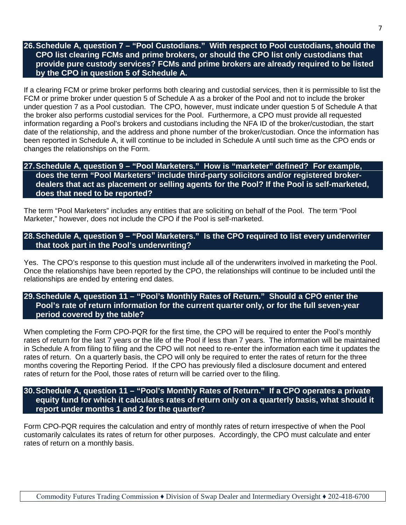# **26.Schedule A, question 7 – "Pool Custodians." With respect to Pool custodians, should the CPO list clearing FCMs and prime brokers, or should the CPO list only custodians that provide pure custody services? FCMs and prime brokers are already required to be listed by the CPO in question 5 of Schedule A.**

If a clearing FCM or prime broker performs both clearing and custodial services, then it is permissible to list the FCM or prime broker under question 5 of Schedule A as a broker of the Pool and not to include the broker under question 7 as a Pool custodian. The CPO, however, must indicate under question 5 of Schedule A that the broker also performs custodial services for the Pool. Furthermore, a CPO must provide all requested information regarding a Pool's brokers and custodians including the NFA ID of the broker/custodian, the start date of the relationship, and the address and phone number of the broker/custodian. Once the information has been reported in Schedule A, it will continue to be included in Schedule A until such time as the CPO ends or changes the relationships on the Form.

#### **27.Schedule A, question 9 – "Pool Marketers." How is "marketer" defined? For example, does the term "Pool Marketers" include third-party solicitors and/or registered brokerdealers that act as placement or selling agents for the Pool? If the Pool is self-marketed, does that need to be reported?**

The term "Pool Marketers" includes any entities that are soliciting on behalf of the Pool. The term "Pool Marketer," however, does not include the CPO if the Pool is self-marketed.

# **28.Schedule A, question 9 – "Pool Marketers." Is the CPO required to list every underwriter that took part in the Pool's underwriting?**

Yes. The CPO's response to this question must include all of the underwriters involved in marketing the Pool. Once the relationships have been reported by the CPO, the relationships will continue to be included until the relationships are ended by entering end dates.

# **29.Schedule A, question 11 – "Pool's Monthly Rates of Return." Should a CPO enter the Pool's rate of return information for the current quarter only, or for the full seven-year period covered by the table?**

When completing the Form CPO-PQR for the first time, the CPO will be required to enter the Pool's monthly rates of return for the last 7 years or the life of the Pool if less than 7 years. The information will be maintained in Schedule A from filing to filing and the CPO will not need to re-enter the information each time it updates the rates of return. On a quarterly basis, the CPO will only be required to enter the rates of return for the three months covering the Reporting Period. If the CPO has previously filed a disclosure document and entered rates of return for the Pool, those rates of return will be carried over to the filing.

# **30. Schedule A, question 11 – "Pool's Monthly Rates of Return." If a CPO operates a private equity fund for which it calculates rates of return only on a quarterly basis, what should it report under months 1 and 2 for the quarter?**

Form CPO-PQR requires the calculation and entry of monthly rates of return irrespective of when the Pool customarily calculates its rates of return for other purposes. Accordingly, the CPO must calculate and enter rates of return on a monthly basis.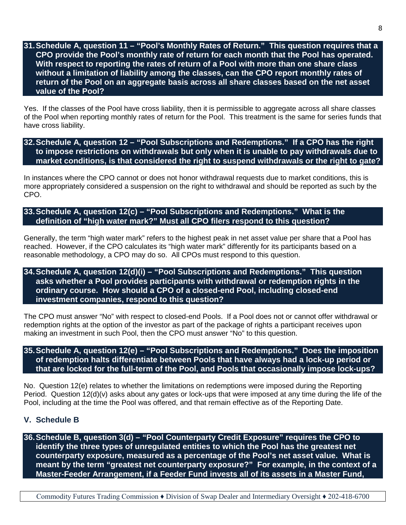# **31.Schedule A, question 11 – "Pool's Monthly Rates of Return." This question requires that a CPO provide the Pool's monthly rate of return for each month that the Pool has operated. With respect to reporting the rates of return of a Pool with more than one share class without a limitation of liability among the classes, can the CPO report monthly rates of return of the Pool on an aggregate basis across all share classes based on the net asset value of the Pool?**

Yes. If the classes of the Pool have cross liability, then it is permissible to aggregate across all share classes of the Pool when reporting monthly rates of return for the Pool. This treatment is the same for series funds that have cross liability.

**32.Schedule A, question 12 – "Pool Subscriptions and Redemptions." If a CPO has the right to impose restrictions on withdrawals but only when it is unable to pay withdrawals due to market conditions, is that considered the right to suspend withdrawals or the right to gate?**

In instances where the CPO cannot or does not honor withdrawal requests due to market conditions, this is more appropriately considered a suspension on the right to withdrawal and should be reported as such by the CPO.

**33.Schedule A, question 12(c) – "Pool Subscriptions and Redemptions." What is the definition of "high water mark?" Must all CPO filers respond to this question?**

Generally, the term "high water mark" refers to the highest peak in net asset value per share that a Pool has reached. However, if the CPO calculates its "high water mark" differently for its participants based on a reasonable methodology, a CPO may do so. All CPOs must respond to this question.

#### **34.Schedule A, question 12(d)(i) – "Pool Subscriptions and Redemptions." This question asks whether a Pool provides participants with withdrawal or redemption rights in the ordinary course. How should a CPO of a closed-end Pool, including closed-end investment companies, respond to this question?**

The CPO must answer "No" with respect to closed-end Pools. If a Pool does not or cannot offer withdrawal or redemption rights at the option of the investor as part of the package of rights a participant receives upon making an investment in such Pool, then the CPO must answer "No" to this question.

# **35.Schedule A, question 12(e) – "Pool Subscriptions and Redemptions." Does the imposition of redemption halts differentiate between Pools that have always had a lock-up period or that are locked for the full-term of the Pool, and Pools that occasionally impose lock-ups?**

No. Question 12(e) relates to whether the limitations on redemptions were imposed during the Reporting Period. Question 12(d)(v) asks about any gates or lock-ups that were imposed at any time during the life of the Pool, including at the time the Pool was offered, and that remain effective as of the Reporting Date.

# **V. Schedule B**

**36.Schedule B, question 3(d) – "Pool Counterparty Credit Exposure" requires the CPO to identify the three types of unregulated entities to which the Pool has the greatest net counterparty exposure, measured as a percentage of the Pool's net asset value. What is meant by the term "greatest net counterparty exposure?" For example, in the context of a Master-Feeder Arrangement, if a Feeder Fund invests all of its assets in a Master Fund,**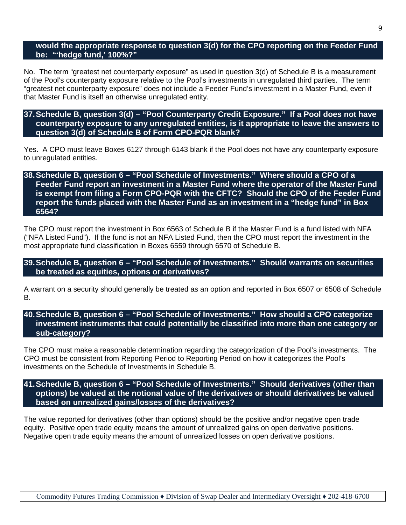#### **would the appropriate response to question 3(d) for the CPO reporting on the Feeder Fund be: "'hedge fund,' 100%?"**

No. The term "greatest net counterparty exposure" as used in question 3(d) of Schedule B is a measurement of the Pool's counterparty exposure relative to the Pool's investments in unregulated third parties. The term "greatest net counterparty exposure" does not include a Feeder Fund's investment in a Master Fund, even if that Master Fund is itself an otherwise unregulated entity.

#### **37.Schedule B, question 3(d) – "Pool Counterparty Credit Exposure." If a Pool does not have counterparty exposure to any unregulated entities, is it appropriate to leave the answers to question 3(d) of Schedule B of Form CPO-PQR blank?**

Yes. A CPO must leave Boxes 6127 through 6143 blank if the Pool does not have any counterparty exposure to unregulated entities.

## **38.Schedule B, question 6 – "Pool Schedule of Investments." Where should a CPO of a Feeder Fund report an investment in a Master Fund where the operator of the Master Fund is exempt from filing a Form CPO-PQR with the CFTC? Should the CPO of the Feeder Fund report the funds placed with the Master Fund as an investment in a "hedge fund" in Box 6564?**

The CPO must report the investment in Box 6563 of Schedule B if the Master Fund is a fund listed with NFA ("NFA Listed Fund"). If the fund is not an NFA Listed Fund, then the CPO must report the investment in the most appropriate fund classification in Boxes 6559 through 6570 of Schedule B.

## **39.Schedule B, question 6 – "Pool Schedule of Investments." Should warrants on securities be treated as equities, options or derivatives?**

A warrant on a security should generally be treated as an option and reported in Box 6507 or 6508 of Schedule B.

# **40.Schedule B, question 6 – "Pool Schedule of Investments." How should a CPO categorize investment instruments that could potentially be classified into more than one category or sub-category?**

The CPO must make a reasonable determination regarding the categorization of the Pool's investments. The CPO must be consistent from Reporting Period to Reporting Period on how it categorizes the Pool's investments on the Schedule of Investments in Schedule B.

# **41.Schedule B, question 6 – "Pool Schedule of Investments." Should derivatives (other than options) be valued at the notional value of the derivatives or should derivatives be valued based on unrealized gains/losses of the derivatives?**

The value reported for derivatives (other than options) should be the positive and/or negative open trade equity. Positive open trade equity means the amount of unrealized gains on open derivative positions. Negative open trade equity means the amount of unrealized losses on open derivative positions.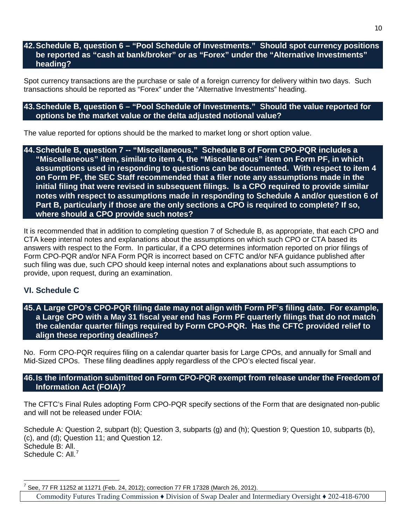## **42.Schedule B, question 6 – "Pool Schedule of Investments." Should spot currency positions be reported as "cash at bank/broker" or as "Forex" under the "Alternative Investments" heading?**

Spot currency transactions are the purchase or sale of a foreign currency for delivery within two days. Such transactions should be reported as "Forex" under the "Alternative Investments" heading.

#### **43.Schedule B, question 6 – "Pool Schedule of Investments." Should the value reported for options be the market value or the delta adjusted notional value?**

The value reported for options should be the marked to market long or short option value.

**44.Schedule B, question 7 -- "Miscellaneous." Schedule B of Form CPO-PQR includes a "Miscellaneous" item, similar to item 4, the "Miscellaneous" item on Form PF, in which assumptions used in responding to questions can be documented. With respect to item 4 on Form PF, the SEC Staff recommended that a filer note any assumptions made in the initial filing that were revised in subsequent filings. Is a CPO required to provide similar notes with respect to assumptions made in responding to Schedule A and/or question 6 of Part B, particularly if those are the only sections a CPO is required to complete? If so, where should a CPO provide such notes?**

It is recommended that in addition to completing question 7 of Schedule B, as appropriate, that each CPO and CTA keep internal notes and explanations about the assumptions on which such CPO or CTA based its answers with respect to the Form. In particular, if a CPO determines information reported on prior filings of Form CPO-PQR and/or NFA Form PQR is incorrect based on CFTC and/or NFA guidance published after such filing was due, such CPO should keep internal notes and explanations about such assumptions to provide, upon request, during an examination.

# **VI. Schedule C**

### **45.A Large CPO's CPO-PQR filing date may not align with Form PF's filing date. For example, a Large CPO with a May 31 fiscal year end has Form PF quarterly filings that do not match the calendar quarter filings required by Form CPO-PQR. Has the CFTC provided relief to align these reporting deadlines?**

No. Form CPO-PQR requires filing on a calendar quarter basis for Large CPOs, and annually for Small and Mid-Sized CPOs. These filing deadlines apply regardless of the CPO's elected fiscal year.

# **46.Is the information submitted on Form CPO-PQR exempt from release under the Freedom of Information Act (FOIA)?**

The CFTC's Final Rules adopting Form CPO-PQR specify sections of the Form that are designated non-public and will not be released under FOIA:

Schedule A: Question 2, subpart (b); Question 3, subparts (g) and (h); Question 9; Question 10, subparts (b), (c), and (d); Question 11; and Question 12. Schedule B: All. Schedule C: All.<sup>[7](#page-9-0)</sup>

<span id="page-9-0"></span> $\overline{a}$ See, 77 FR 11252 at 11271 (Feb. 24, 2012); correction 77 FR 17328 (March 26, 2012).

Commodity Futures Trading Commission ♦ Division of Swap Dealer and Intermediary Oversight ♦ 202-418-6700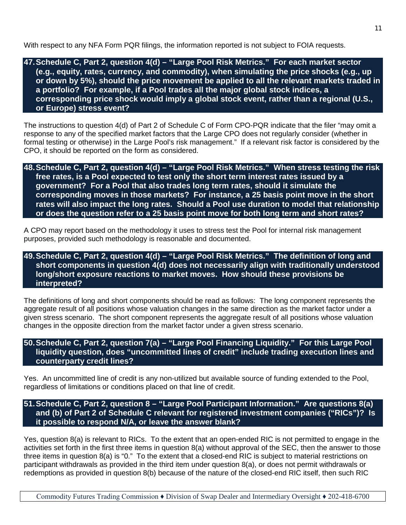With respect to any NFA Form PQR filings, the information reported is not subject to FOIA requests.

**47.Schedule C, Part 2, question 4(d) – "Large Pool Risk Metrics." For each market sector (e.g., equity, rates, currency, and commodity), when simulating the price shocks (e.g., up or down by 5%), should the price movement be applied to all the relevant markets traded in a portfolio? For example, if a Pool trades all the major global stock indices, a corresponding price shock would imply a global stock event, rather than a regional (U.S., or Europe) stress event?**

The instructions to question 4(d) of Part 2 of Schedule C of Form CPO-PQR indicate that the filer "may omit a response to any of the specified market factors that the Large CPO does not regularly consider (whether in formal testing or otherwise) in the Large Pool's risk management." If a relevant risk factor is considered by the CPO, it should be reported on the form as considered.

**48.Schedule C, Part 2, question 4(d) – "Large Pool Risk Metrics." When stress testing the risk free rates, is a Pool expected to test only the short term interest rates issued by a government? For a Pool that also trades long term rates, should it simulate the corresponding moves in those markets? For instance, a 25 basis point move in the short rates will also impact the long rates. Should a Pool use duration to model that relationship or does the question refer to a 25 basis point move for both long term and short rates?**

A CPO may report based on the methodology it uses to stress test the Pool for internal risk management purposes, provided such methodology is reasonable and documented.

**49.Schedule C, Part 2, question 4(d) – "Large Pool Risk Metrics." The definition of long and short components in question 4(d) does not necessarily align with traditionally understood long/short exposure reactions to market moves. How should these provisions be interpreted?**

The definitions of long and short components should be read as follows: The long component represents the aggregate result of all positions whose valuation changes in the same direction as the market factor under a given stress scenario. The short component represents the aggregate result of all positions whose valuation changes in the opposite direction from the market factor under a given stress scenario.

**50.Schedule C, Part 2, question 7(a) – "Large Pool Financing Liquidity." For this Large Pool liquidity question, does "uncommitted lines of credit" include trading execution lines and counterparty credit lines?**

Yes. An uncommitted line of credit is any non-utilized but available source of funding extended to the Pool, regardless of limitations or conditions placed on that line of credit.

**51.Schedule C, Part 2, question 8 – "Large Pool Participant Information." Are questions 8(a) and (b) of Part 2 of Schedule C relevant for registered investment companies ("RICs")? Is it possible to respond N/A, or leave the answer blank?**

Yes, question 8(a) is relevant to RICs. To the extent that an open-ended RIC is not permitted to engage in the activities set forth in the first three items in question 8(a) without approval of the SEC, then the answer to those three items in question 8(a) is "0." To the extent that a closed-end RIC is subject to material restrictions on participant withdrawals as provided in the third item under question 8(a), or does not permit withdrawals or redemptions as provided in question 8(b) because of the nature of the closed-end RIC itself, then such RIC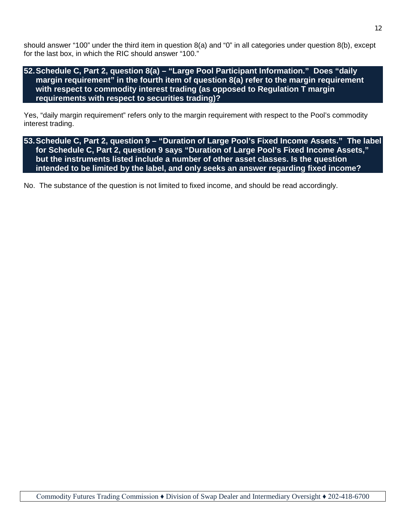should answer "100" under the third item in question 8(a) and "0" in all categories under question 8(b), except for the last box, in which the RIC should answer "100."

## **52.Schedule C, Part 2, question 8(a) – "Large Pool Participant Information." Does "daily margin requirement" in the fourth item of question 8(a) refer to the margin requirement with respect to commodity interest trading (as opposed to Regulation T margin requirements with respect to securities trading)?**

Yes, "daily margin requirement" refers only to the margin requirement with respect to the Pool's commodity interest trading.

**53.Schedule C, Part 2, question 9 – "Duration of Large Pool's Fixed Income Assets." The label for Schedule C, Part 2, question 9 says "Duration of Large Pool's Fixed Income Assets," but the instruments listed include a number of other asset classes. Is the question intended to be limited by the label, and only seeks an answer regarding fixed income?**

No. The substance of the question is not limited to fixed income, and should be read accordingly.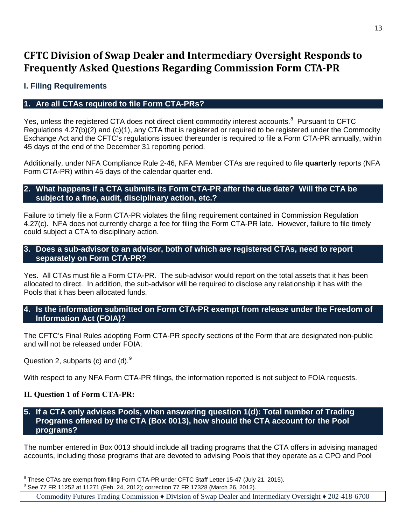# **CFTC Division of Swap Dealer and Intermediary Oversight Responds to Frequently Asked Questions Regarding Commission Form CTA-PR**

# **I. Filing Requirements**

# **1. Are all CTAs required to file Form CTA-PRs?**

Yes, unless the registered CTA does not direct client commodity interest accounts.<sup>[8](#page-12-0)</sup> Pursuant to CFTC Regulations 4.27(b)(2) and (c)(1), any CTA that is registered or required to be registered under the Commodity Exchange Act and the CFTC's regulations issued thereunder is required to file a Form CTA-PR annually, within 45 days of the end of the December 31 reporting period.

Additionally, under NFA Compliance Rule 2-46, NFA Member CTAs are required to file **quarterly** reports (NFA Form CTA-PR) within 45 days of the calendar quarter end.

# **2. What happens if a CTA submits its Form CTA-PR after the due date? Will the CTA be subject to a fine, audit, disciplinary action, etc.?**

Fai lure to timely file a Form CTA-PR violates the filing requirement contained in Commission Regulation 4.27(c). NFA does not currently charge a fee for filing the Form CTA-PR late. However, failure to file timely could subject a CTA to disciplinary action.

#### **3. Does a sub-advisor to an advisor, both of which are registered CTAs, need to report separately on Form CTA-PR?**

Yes. All CTAs must file a Form CTA-PR. The sub-advisor would report on the total assets that it has been allocated to direct. In addition, the sub-advisor will be required to disclose any relationship it has with the Pools that it has been allocated funds.

### **4. Is the information submitted on Form CTA-PR exempt from release under the Freedom of Information Act (FOIA)?**

The CFTC's Final Rules adopting Form CTA-PR specify sections of the Form that are designated non-public and will not be released under FOIA:

Question 2, subparts (c) and (d). $9$ 

With respect to any NFA Form CTA-PR filings, the information reported is not subject to FOIA requests.

# **II. Question 1 of Form CTA-PR:**

**5. If a CTA only advises Pools, when answering question 1(d): Total number of Trading Programs offered by the CTA (Box 0013), how should the CTA account for the Pool programs?**

The number entered in Box 0013 should include all trading programs that the CTA offers in advising managed accounts, including those programs that are devoted to advising Pools that they operate as a CPO and Pool

<span id="page-12-1"></span>

<span id="page-12-0"></span> $\overline{a}$  $^8$  These CTAs are exempt from filing Form CTA-PR under CFTC Staff Letter 15-47 (July 21, 2015).<br><sup>9</sup> See 77 FR 11252 at 11271 (Feb. 24, 2012); correction 77 FR 17328 (March 26, 2012).

Commodity Futures Trading Commission ♦ Division of Swap Dealer and Intermediary Oversight ♦ 202-418-6700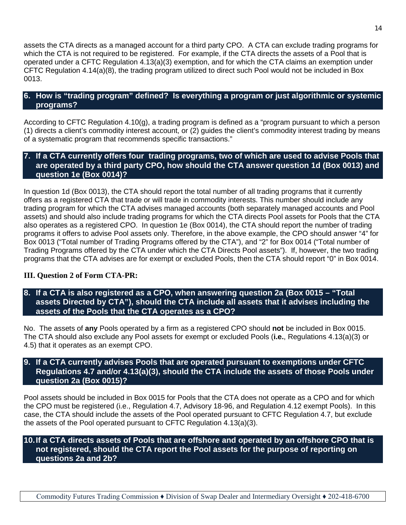assets the CTA directs as a managed account for a third party CPO. A CTA can exclude trading programs for which the CTA is not required to be registered. For example, if the CTA directs the assets of a Pool that is operated under a CFTC Regulation 4.13(a)(3) exemption, and for which the CTA claims an exemption under CFTC Regulation 4.14(a)(8), the trading program utilized to direct such Pool would not be included in Box 0013.

# **6. How is "trading program" defined? Is everything a program or just algorithmic or systemic programs?**

According to CFTC Regulation 4.10(g), a trading program is defined as a "program pursuant to which a person (1) directs a client's commodity interest account, or (2) guides the client's commodity interest trading by means of a systematic program that recommends specific transactions."

## **7. If a CTA currently offers four trading programs, two of which are used to advise Pools that are operated by a third party CPO, how should the CTA answer question 1d (Box 0013) and question 1e (Box 0014)?**

In question 1d (Box 0013), the CTA should report the total number of all trading programs that it currently offers as a registered CTA that trade or will trade in commodity interests. This number should include any trading program for which the CTA advises managed accounts (both separately managed accounts and Pool assets) and should also include trading programs for which the CTA directs Pool assets for Pools that the CTA also operates as a registered CPO. In question 1e (Box 0014), the CTA should report the number of trading programs it offers to advise Pool assets only. Therefore, in the above example, the CPO should answer "4" for Box 0013 ("Total number of Trading Programs offered by the CTA"), and "2" for Box 0014 ("Total number of Trading Programs offered by the CTA under which the CTA Directs Pool assets"). If, however, the two trading programs that the CTA advises are for exempt or excluded Pools, then the CTA should report "0" in Box 0014.

#### **III. Question 2 of Form CTA-PR:**

# **8. If a CTA is also registered as a CPO, when answering question 2a (Box 0015 – "Total assets Directed by CTA"), should the CTA include all assets that it advises including the assets of the Pools that the CTA operates as a CPO?**

No. The assets of **any** Pools operated by a firm as a registered CPO should **not** be included in Box 0015. The CTA should also exclude any Pool assets for exempt or excluded Pools (**i.e.**, Regulations 4.13(a)(3) or 4.5) that it operates as an exempt CPO.

## **9. If a CTA currently advises Pools that are operated pursuant to exemptions under CFTC Regulations 4.7 and/or 4.13(a)(3), should the CTA include the assets of those Pools under question 2a (Box 0015)?**

Pool assets should be included in Box 0015 for Pools that the CTA does not operate as a CPO and for which the CPO must be registered (i.e., Regulation 4.7, Advisory 18-96, and Regulation 4.12 exempt Pools). In this case, the CTA should include the assets of the Pool operated pursuant to CFTC Regulation 4.7, but exclude the assets of the Pool operated pursuant to CFTC Regulation 4.13(a)(3).

#### **10.If a CTA directs assets of Pools that are offshore and operated by an offshore CPO that is not registered, should the CTA report the Pool assets for the purpose of reporting on questions 2a and 2b?**